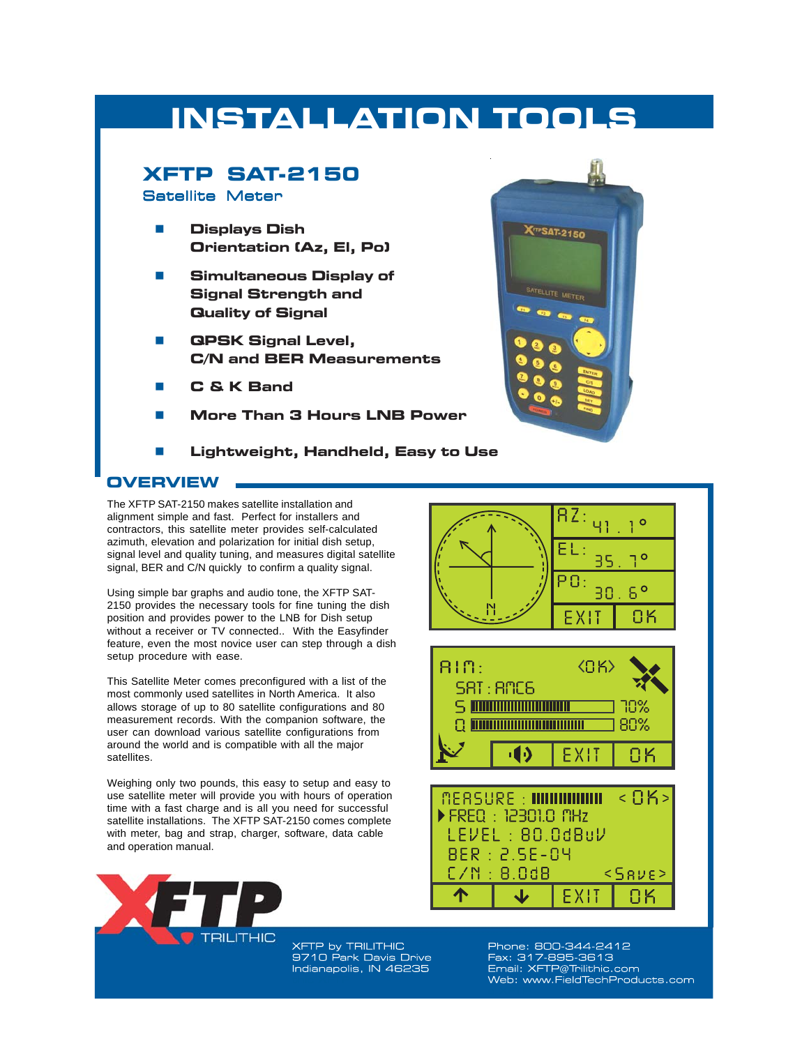# **INSTALLATION TOOLS**

# **XFTP SAT-2150**

#### Satellite Meter

- **Displays Dish Orientation (Az, El, Po)**
- **Simultaneous Display of Signal Strength and Quality of Signal**
- **QPSK Signal Level, C/N and BER Measurements**
- **C & K Band**
- **More Than 3 Hours LNB Power**
- **Lightweight, Handheld, Easy to Use**

### **OVERVIEW**

The XFTP SAT-2150 makes satellite installation and alignment simple and fast. Perfect for installers and contractors, this satellite meter provides self-calculated azimuth, elevation and polarization for initial dish setup, signal level and quality tuning, and measures digital satellite signal, BER and C/N quickly to confirm a quality signal.

Using simple bar graphs and audio tone, the XFTP SAT-2150 provides the necessary tools for fine tuning the dish position and provides power to the LNB for Dish setup without a receiver or TV connected.. With the Easyfinder feature, even the most novice user can step through a dish setup procedure with ease.

This Satellite Meter comes preconfigured with a list of the most commonly used satellites in North America. It also allows storage of up to 80 satellite configurations and 80 measurement records. With the companion software, the user can download various satellite configurations from around the world and is compatible with all the major satellites.

Weighing only two pounds, this easy to setup and easy to use satellite meter will provide you with hours of operation time with a fast charge and is all you need for successful satellite installations. The XFTP SAT-2150 comes complete with meter, bag and strap, charger, software, data cable and operation manual.



**XFTP by TRILITHIC** 9710 Park Davis Drive Indianapolis, IN 46235



Phone: 800-344-2412 Fax: 317-895-3613 Email: XFTP@Trilithic.com Web: www.FieldTechProducts.com